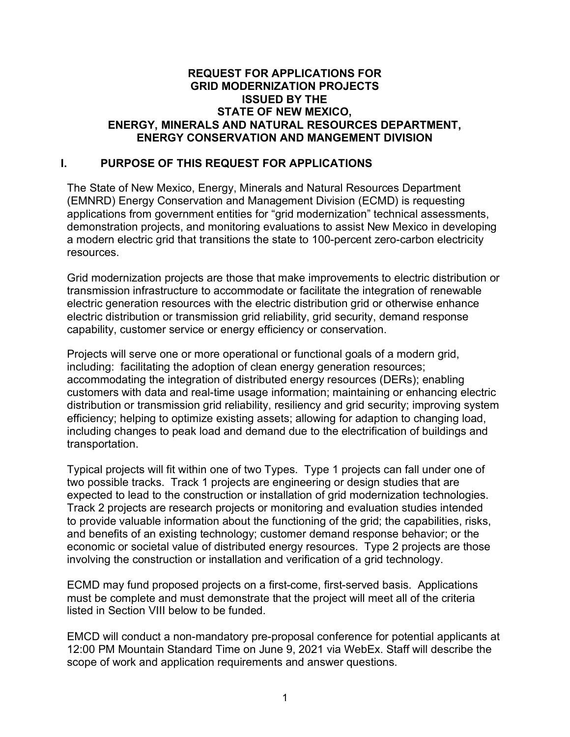#### **REQUEST FOR APPLICATIONS FOR GRID MODERNIZATION PROJECTS ISSUED BY THE STATE OF NEW MEXICO, ENERGY, MINERALS AND NATURAL RESOURCES DEPARTMENT, ENERGY CONSERVATION AND MANGEMENT DIVISION**

#### **I. PURPOSE OF THIS REQUEST FOR APPLICATIONS**

The State of New Mexico, Energy, Minerals and Natural Resources Department (EMNRD) Energy Conservation and Management Division (ECMD) is requesting applications from government entities for "grid modernization" technical assessments, demonstration projects, and monitoring evaluations to assist New Mexico in developing a modern electric grid that transitions the state to 100-percent zero-carbon electricity resources.

Grid modernization projects are those that make improvements to electric distribution or transmission infrastructure to accommodate or facilitate the integration of renewable electric generation resources with the electric distribution grid or otherwise enhance electric distribution or transmission grid reliability, grid security, demand response capability, customer service or energy efficiency or conservation.

Projects will serve one or more operational or functional goals of a modern grid, including: facilitating the adoption of clean energy generation resources; accommodating the integration of distributed energy resources (DERs); enabling customers with data and real-time usage information; maintaining or enhancing electric distribution or transmission grid reliability, resiliency and grid security; improving system efficiency; helping to optimize existing assets; allowing for adaption to changing load, including changes to peak load and demand due to the electrification of buildings and transportation.

Typical projects will fit within one of two Types. Type 1 projects can fall under one of two possible tracks. Track 1 projects are engineering or design studies that are expected to lead to the construction or installation of grid modernization technologies. Track 2 projects are research projects or monitoring and evaluation studies intended to provide valuable information about the functioning of the grid; the capabilities, risks, and benefits of an existing technology; customer demand response behavior; or the economic or societal value of distributed energy resources. Type 2 projects are those involving the construction or installation and verification of a grid technology.

ECMD may fund proposed projects on a first-come, first-served basis. Applications must be complete and must demonstrate that the project will meet all of the criteria listed in Section VIII below to be funded.

EMCD will conduct a non-mandatory pre-proposal conference for potential applicants at 12:00 PM Mountain Standard Time on June 9, 2021 via WebEx. Staff will describe the scope of work and application requirements and answer questions.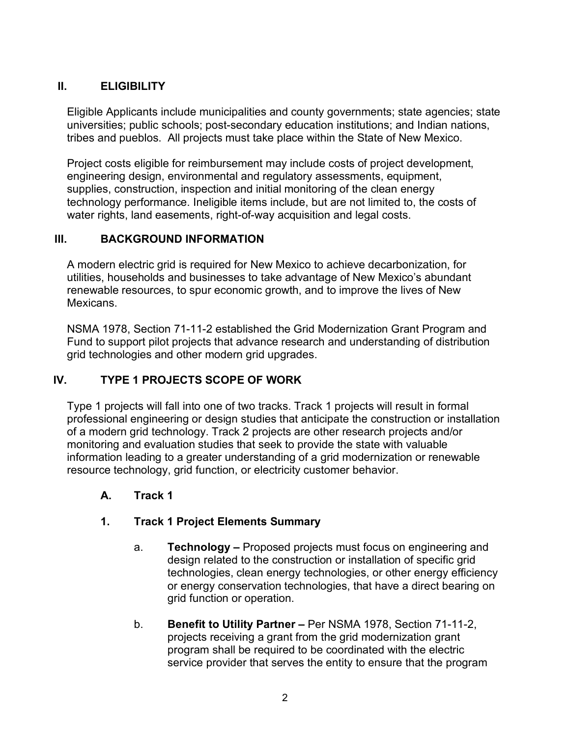# **II. ELIGIBILITY**

Eligible Applicants include municipalities and county governments; state agencies; state universities; public schools; post-secondary education institutions; and Indian nations, tribes and pueblos. All projects must take place within the State of New Mexico.

Project costs eligible for reimbursement may include costs of project development, engineering design, environmental and regulatory assessments, equipment, supplies, construction, inspection and initial monitoring of the clean energy technology performance. Ineligible items include, but are not limited to, the costs of water rights, land easements, right-of-way acquisition and legal costs.

### **III. BACKGROUND INFORMATION**

A modern electric grid is required for New Mexico to achieve decarbonization, for utilities, households and businesses to take advantage of New Mexico's abundant renewable resources, to spur economic growth, and to improve the lives of New Mexicans.

NSMA 1978, Section 71-11-2 established the Grid Modernization Grant Program and Fund to support pilot projects that advance research and understanding of distribution grid technologies and other modern grid upgrades.

# **IV. TYPE 1 PROJECTS SCOPE OF WORK**

Type 1 projects will fall into one of two tracks. Track 1 projects will result in formal professional engineering or design studies that anticipate the construction or installation of a modern grid technology. Track 2 projects are other research projects and/or monitoring and evaluation studies that seek to provide the state with valuable information leading to a greater understanding of a grid modernization or renewable resource technology, grid function, or electricity customer behavior.

# **A. Track 1**

# **1. Track 1 Project Elements Summary**

- a. **Technology –** Proposed projects must focus on engineering and design related to the construction or installation of specific grid technologies, clean energy technologies, or other energy efficiency or energy conservation technologies, that have a direct bearing on grid function or operation.
- b. **Benefit to Utility Partner –** Per NSMA 1978, Section 71-11-2, projects receiving a grant from the grid modernization grant program shall be required to be coordinated with the electric service provider that serves the entity to ensure that the program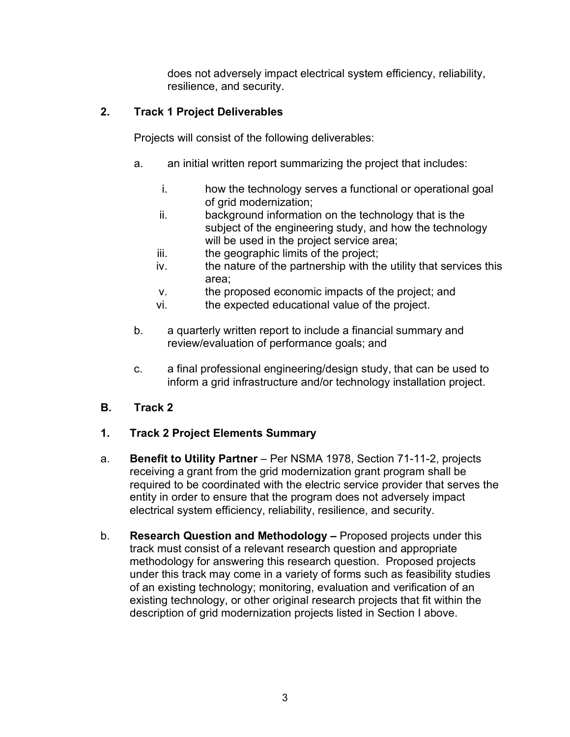does not adversely impact electrical system efficiency, reliability, resilience, and security.

# **2. Track 1 Project Deliverables**

Projects will consist of the following deliverables:

- a. an initial written report summarizing the project that includes:
	- i. how the technology serves a functional or operational goal of grid modernization;
	- ii. background information on the technology that is the subject of the engineering study, and how the technology will be used in the project service area;
	- iii. the geographic limits of the project;
	- iv. the nature of the partnership with the utility that services this area;
	- v. the proposed economic impacts of the project; and
	- vi. the expected educational value of the project.
- b. a quarterly written report to include a financial summary and review/evaluation of performance goals; and
- c. a final professional engineering/design study, that can be used to inform a grid infrastructure and/or technology installation project.
- **B. Track 2**

# **1. Track 2 Project Elements Summary**

- a. **Benefit to Utility Partner** Per NSMA 1978, Section 71-11-2, projects receiving a grant from the grid modernization grant program shall be required to be coordinated with the electric service provider that serves the entity in order to ensure that the program does not adversely impact electrical system efficiency, reliability, resilience, and security.
- b. **Research Question and Methodology –** Proposed projects under this track must consist of a relevant research question and appropriate methodology for answering this research question. Proposed projects under this track may come in a variety of forms such as feasibility studies of an existing technology; monitoring, evaluation and verification of an existing technology, or other original research projects that fit within the description of grid modernization projects listed in Section I above.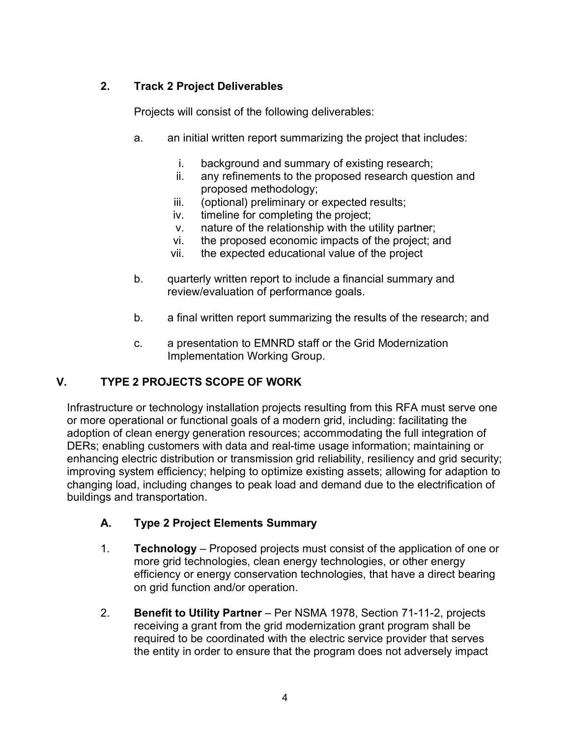# **2. Track 2 Project Deliverables**

Projects will consist of the following deliverables:

- a. an initial written report summarizing the project that includes:
	- i. background and summary of existing research;
	- ii. any refinements to the proposed research question and proposed methodology;
	- iii. (optional) preliminary or expected results;
	- iv. timeline for completing the project;
	- v. nature of the relationship with the utility partner;
	- vi. the proposed economic impacts of the project; and
	- vii. the expected educational value of the project
- b. quarterly written report to include a financial summary and review/evaluation of performance goals.
- b. a final written report summarizing the results of the research; and
- c. a presentation to EMNRD staff or the Grid Modernization Implementation Working Group.

# **V. TYPE 2 PROJECTS SCOPE OF WORK**

Infrastructure or technology installation projects resulting from this RFA must serve one or more operational or functional goals of a modern grid, including: facilitating the adoption of clean energy generation resources; accommodating the full integration of DERs; enabling customers with data and real-time usage information; maintaining or enhancing electric distribution or transmission grid reliability, resiliency and grid security; improving system efficiency; helping to optimize existing assets; allowing for adaption to changing load, including changes to peak load and demand due to the electrification of buildings and transportation.

# **A. Type 2 Project Elements Summary**

- 1. **Technology** Proposed projects must consist of the application of one or more grid technologies, clean energy technologies, or other energy efficiency or energy conservation technologies, that have a direct bearing on grid function and/or operation.
- 2. **Benefit to Utility Partner** Per NSMA 1978, Section 71-11-2, projects receiving a grant from the grid modernization grant program shall be required to be coordinated with the electric service provider that serves the entity in order to ensure that the program does not adversely impact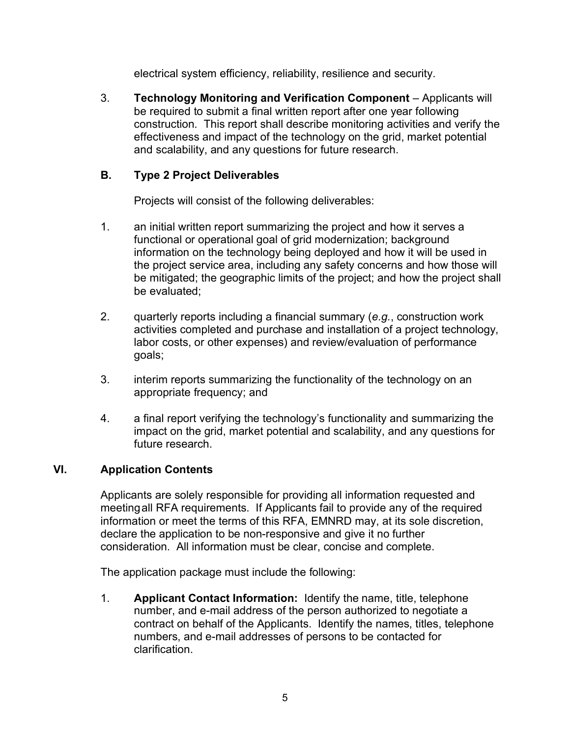electrical system efficiency, reliability, resilience and security.

3. **Technology Monitoring and Verification Component** – Applicants will be required to submit a final written report after one year following construction. This report shall describe monitoring activities and verify the effectiveness and impact of the technology on the grid, market potential and scalability, and any questions for future research.

## **B. Type 2 Project Deliverables**

Projects will consist of the following deliverables:

- 1. an initial written report summarizing the project and how it serves a functional or operational goal of grid modernization; background information on the technology being deployed and how it will be used in the project service area, including any safety concerns and how those will be mitigated; the geographic limits of the project; and how the project shall be evaluated;
- 2. quarterly reports including a financial summary (*e.g.*, construction work activities completed and purchase and installation of a project technology, labor costs, or other expenses) and review/evaluation of performance goals;
- 3. interim reports summarizing the functionality of the technology on an appropriate frequency; and
- 4. a final report verifying the technology's functionality and summarizing the impact on the grid, market potential and scalability, and any questions for future research.

### **VI. Application Contents**

Applicants are solely responsible for providing all information requested and meetingall RFA requirements. If Applicants fail to provide any of the required information or meet the terms of this RFA, EMNRD may, at its sole discretion, declare the application to be non-responsive and give it no further consideration. All information must be clear, concise and complete.

The application package must include the following:

1. **Applicant Contact Information:** Identify the name, title, telephone number, and e-mail address of the person authorized to negotiate a contract on behalf of the Applicants. Identify the names, titles, telephone numbers, and e-mail addresses of persons to be contacted for clarification.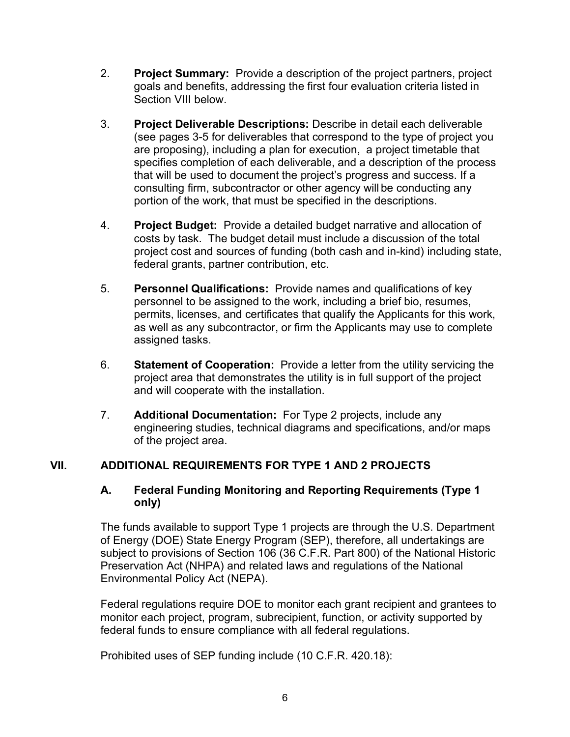- 2. **Project Summary:** Provide a description of the project partners, project goals and benefits, addressing the first four evaluation criteria listed in Section VIII below.
- 3. **Project Deliverable Descriptions:** Describe in detail each deliverable (see pages 3-5 for deliverables that correspond to the type of project you are proposing), including a plan for execution, a project timetable that specifies completion of each deliverable, and a description of the process that will be used to document the project's progress and success. If a consulting firm, subcontractor or other agency will be conducting any portion of the work, that must be specified in the descriptions.
- 4. **Project Budget:** Provide a detailed budget narrative and allocation of costs by task. The budget detail must include a discussion of the total project cost and sources of funding (both cash and in-kind) including state, federal grants, partner contribution, etc.
- 5. **Personnel Qualifications:** Provide names and qualifications of key personnel to be assigned to the work, including a brief bio, resumes, permits, licenses, and certificates that qualify the Applicants for this work, as well as any subcontractor, or firm the Applicants may use to complete assigned tasks.
- 6. **Statement of Cooperation:** Provide a letter from the utility servicing the project area that demonstrates the utility is in full support of the project and will cooperate with the installation.
- 7. **Additional Documentation:** For Type 2 projects, include any engineering studies, technical diagrams and specifications, and/or maps of the project area.

# **VII. ADDITIONAL REQUIREMENTS FOR TYPE 1 AND 2 PROJECTS**

### **A. Federal Funding Monitoring and Reporting Requirements (Type 1 only)**

The funds available to support Type 1 projects are through the U.S. Department of Energy (DOE) State Energy Program (SEP), therefore, all undertakings are subject to provisions of Section 106 (36 C.F.R. Part 800) of the National Historic Preservation Act (NHPA) and related laws and regulations of the National Environmental Policy Act (NEPA).

Federal regulations require DOE to monitor each grant recipient and grantees to monitor each project, program, subrecipient, function, or activity supported by federal funds to ensure compliance with all federal regulations.

Prohibited uses of SEP funding include (10 C.F.R. 420.18):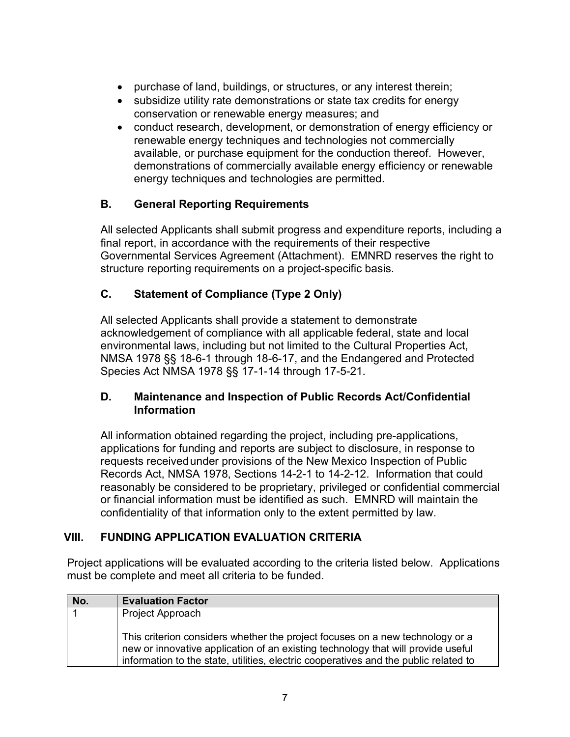- purchase of land, buildings, or structures, or any interest therein;
- subsidize utility rate demonstrations or state tax credits for energy conservation or renewable energy measures; and
- conduct research, development, or demonstration of energy efficiency or renewable energy techniques and technologies not commercially available, or purchase equipment for the conduction thereof. However, demonstrations of commercially available energy efficiency or renewable energy techniques and technologies are permitted.

## **B. General Reporting Requirements**

All selected Applicants shall submit progress and expenditure reports, including a final report, in accordance with the requirements of their respective Governmental Services Agreement (Attachment). EMNRD reserves the right to structure reporting requirements on a project-specific basis.

## **C. Statement of Compliance (Type 2 Only)**

All selected Applicants shall provide a statement to demonstrate acknowledgement of compliance with all applicable federal, state and local environmental laws, including but not limited to the Cultural Properties Act, NMSA 1978 §§ 18-6-1 through 18-6-17, and the Endangered and Protected Species Act NMSA 1978 §§ 17-1-14 through 17-5-21.

#### **D. Maintenance and Inspection of Public Records Act/Confidential Information**

All information obtained regarding the project, including pre-applications, applications for funding and reports are subject to disclosure, in response to requests receivedunder provisions of the New Mexico Inspection of Public Records Act, NMSA 1978, Sections 14-2-1 to 14-2-12. Information that could reasonably be considered to be proprietary, privileged or confidential commercial or financial information must be identified as such. EMNRD will maintain the confidentiality of that information only to the extent permitted by law.

# **VIII. FUNDING APPLICATION EVALUATION CRITERIA**

Project applications will be evaluated according to the criteria listed below. Applications must be complete and meet all criteria to be funded.

| No. | <b>Evaluation Factor</b>                                                                                                                                                                                                                                  |
|-----|-----------------------------------------------------------------------------------------------------------------------------------------------------------------------------------------------------------------------------------------------------------|
|     | Project Approach                                                                                                                                                                                                                                          |
|     | This criterion considers whether the project focuses on a new technology or a<br>new or innovative application of an existing technology that will provide useful<br>information to the state, utilities, electric cooperatives and the public related to |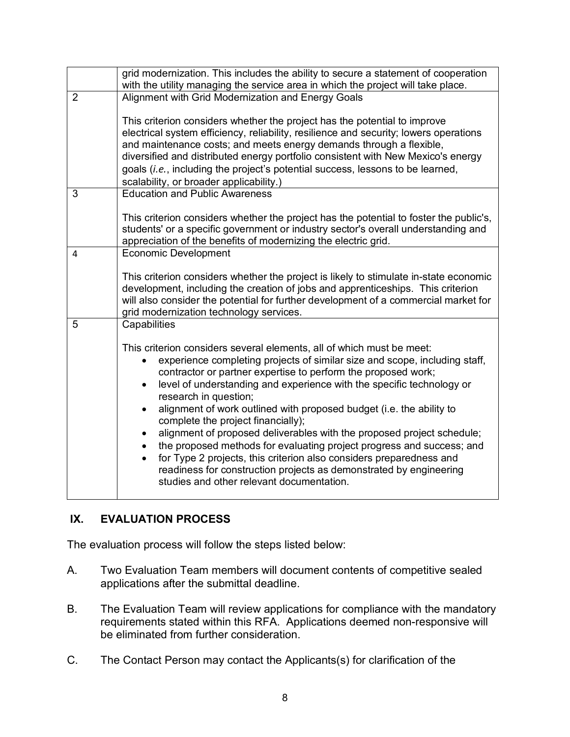|                | grid modernization. This includes the ability to secure a statement of cooperation<br>with the utility managing the service area in which the project will take place.                                                                                                                                                                                                                                                                                                                                                                                                                                                                                                                                                                                                                                      |  |
|----------------|-------------------------------------------------------------------------------------------------------------------------------------------------------------------------------------------------------------------------------------------------------------------------------------------------------------------------------------------------------------------------------------------------------------------------------------------------------------------------------------------------------------------------------------------------------------------------------------------------------------------------------------------------------------------------------------------------------------------------------------------------------------------------------------------------------------|--|
| $\overline{2}$ | Alignment with Grid Modernization and Energy Goals                                                                                                                                                                                                                                                                                                                                                                                                                                                                                                                                                                                                                                                                                                                                                          |  |
|                | This criterion considers whether the project has the potential to improve<br>electrical system efficiency, reliability, resilience and security; lowers operations<br>and maintenance costs; and meets energy demands through a flexible,<br>diversified and distributed energy portfolio consistent with New Mexico's energy<br>goals (i.e., including the project's potential success, lessons to be learned,<br>scalability, or broader applicability.)                                                                                                                                                                                                                                                                                                                                                  |  |
| 3              | <b>Education and Public Awareness</b>                                                                                                                                                                                                                                                                                                                                                                                                                                                                                                                                                                                                                                                                                                                                                                       |  |
|                | This criterion considers whether the project has the potential to foster the public's,<br>students' or a specific government or industry sector's overall understanding and<br>appreciation of the benefits of modernizing the electric grid.                                                                                                                                                                                                                                                                                                                                                                                                                                                                                                                                                               |  |
| 4              | <b>Economic Development</b>                                                                                                                                                                                                                                                                                                                                                                                                                                                                                                                                                                                                                                                                                                                                                                                 |  |
|                | This criterion considers whether the project is likely to stimulate in-state economic<br>development, including the creation of jobs and apprenticeships. This criterion<br>will also consider the potential for further development of a commercial market for<br>grid modernization technology services.                                                                                                                                                                                                                                                                                                                                                                                                                                                                                                  |  |
| 5              | Capabilities                                                                                                                                                                                                                                                                                                                                                                                                                                                                                                                                                                                                                                                                                                                                                                                                |  |
|                | This criterion considers several elements, all of which must be meet:<br>experience completing projects of similar size and scope, including staff,<br>contractor or partner expertise to perform the proposed work;<br>level of understanding and experience with the specific technology or<br>$\bullet$<br>research in question;<br>alignment of work outlined with proposed budget (i.e. the ability to<br>$\bullet$<br>complete the project financially);<br>alignment of proposed deliverables with the proposed project schedule;<br>the proposed methods for evaluating project progress and success; and<br>for Type 2 projects, this criterion also considers preparedness and<br>readiness for construction projects as demonstrated by engineering<br>studies and other relevant documentation. |  |

## **IX. EVALUATION PROCESS**

The evaluation process will follow the steps listed below:

- A. Two Evaluation Team members will document contents of competitive sealed applications after the submittal deadline.
- B. The Evaluation Team will review applications for compliance with the mandatory requirements stated within this RFA. Applications deemed non-responsive will be eliminated from further consideration.
- C. The Contact Person may contact the Applicants(s) for clarification of the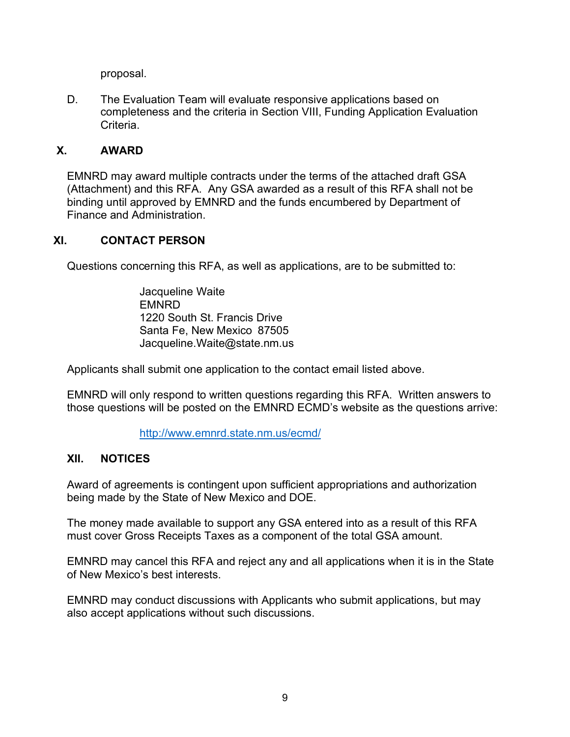proposal.

D. The Evaluation Team will evaluate responsive applications based on completeness and the criteria in Section VIII, Funding Application Evaluation Criteria.

### **X. AWARD**

EMNRD may award multiple contracts under the terms of the attached draft GSA (Attachment) and this RFA. Any GSA awarded as a result of this RFA shall not be binding until approved by EMNRD and the funds encumbered by Department of Finance and Administration.

#### **XI. CONTACT PERSON**

Questions concerning this RFA, as well as applications, are to be submitted to:

Jacqueline Waite EMNRD 1220 South St. Francis Drive Santa Fe, New Mexico 87505 Jacqueline.Waite@state.nm.us

Applicants shall submit one application to the contact email listed above.

EMNRD will only respond to written questions regarding this RFA. Written answers to those questions will be posted on the EMNRD ECMD's website as the questions arrive:

#### <http://www.emnrd.state.nm.us/ecmd/>

#### **XII. NOTICES**

Award of agreements is contingent upon sufficient appropriations and authorization being made by the State of New Mexico and DOE.

The money made available to support any GSA entered into as a result of this RFA must cover Gross Receipts Taxes as a component of the total GSA amount.

EMNRD may cancel this RFA and reject any and all applications when it is in the State of New Mexico's best interests.

EMNRD may conduct discussions with Applicants who submit applications, but may also accept applications without such discussions.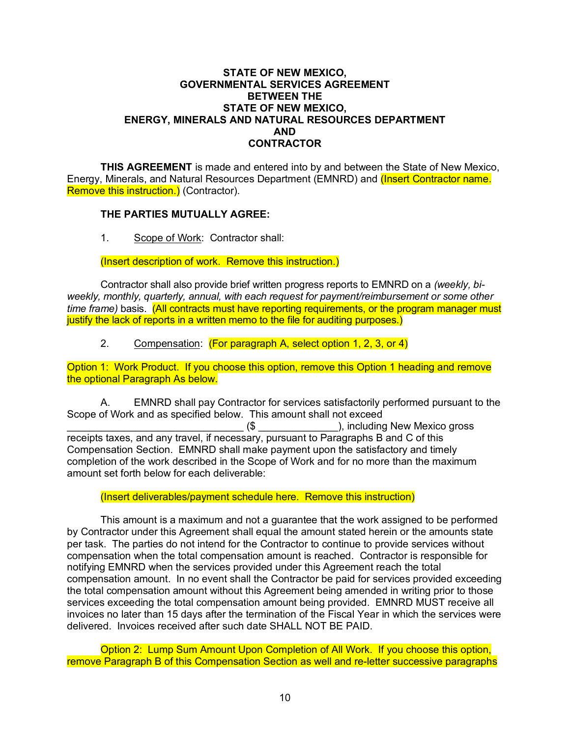#### **STATE OF NEW MEXICO, GOVERNMENTAL SERVICES AGREEMENT BETWEEN THE STATE OF NEW MEXICO, ENERGY, MINERALS AND NATURAL RESOURCES DEPARTMENT AND CONTRACTOR**

**THIS AGREEMENT** is made and entered into by and between the State of New Mexico, Energy, Minerals, and Natural Resources Department (EMNRD) and (Insert Contractor name. Remove this instruction.) (Contractor).

#### **THE PARTIES MUTUALLY AGREE:**

1. Scope of Work: Contractor shall:

(Insert description of work. Remove this instruction.)

Contractor shall also provide brief written progress reports to EMNRD on a *(weekly, biweekly, monthly, quarterly, annual, with each request for payment/reimbursement or some other time frame)* basis. (All contracts must have reporting requirements, or the program manager must justify the lack of reports in a written memo to the file for auditing purposes.)

#### 2. Compensation:  $(For paragraph A, select option 1, 2, 3, or 4)$

Option 1: Work Product. If you choose this option, remove this Option 1 heading and remove the optional Paragraph As below.

A. EMNRD shall pay Contractor for services satisfactorily performed pursuant to the Scope of Work and as specified below. This amount shall not exceed \_\_\_\_\_\_\_\_\_\_\_\_\_\_\_\_\_\_\_\_\_\_\_\_\_\_\_\_\_\_\_ (\$ \_\_\_\_\_\_\_\_\_\_\_\_\_\_), including New Mexico gross receipts taxes, and any travel, if necessary, pursuant to Paragraphs B and C of this Compensation Section. EMNRD shall make payment upon the satisfactory and timely completion of the work described in the Scope of Work and for no more than the maximum amount set forth below for each deliverable:

(Insert deliverables/payment schedule here. Remove this instruction)

This amount is a maximum and not a guarantee that the work assigned to be performed by Contractor under this Agreement shall equal the amount stated herein or the amounts state per task. The parties do not intend for the Contractor to continue to provide services without compensation when the total compensation amount is reached. Contractor is responsible for notifying EMNRD when the services provided under this Agreement reach the total compensation amount. In no event shall the Contractor be paid for services provided exceeding the total compensation amount without this Agreement being amended in writing prior to those services exceeding the total compensation amount being provided. EMNRD MUST receive all invoices no later than 15 days after the termination of the Fiscal Year in which the services were delivered. Invoices received after such date SHALL NOT BE PAID.

Option 2: Lump Sum Amount Upon Completion of All Work. If you choose this option, remove Paragraph B of this Compensation Section as well and re-letter successive paragraphs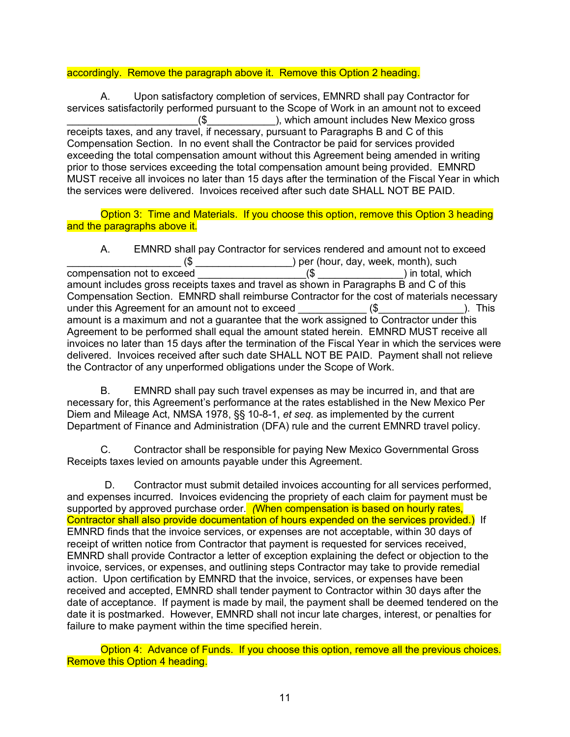#### accordingly. Remove the paragraph above it. Remove this Option 2 heading.

A. Upon satisfactory completion of services, EMNRD shall pay Contractor for services satisfactorily performed pursuant to the Scope of Work in an amount not to exceed \_\_\_\_\_\_\_\_\_\_\_\_\_\_\_\_\_\_\_\_\_\_\_(\$\_\_\_\_\_\_\_\_\_\_\_\_), which amount includes New Mexico gross receipts taxes, and any travel, if necessary, pursuant to Paragraphs B and C of this Compensation Section. In no event shall the Contractor be paid for services provided exceeding the total compensation amount without this Agreement being amended in writing prior to those services exceeding the total compensation amount being provided. EMNRD MUST receive all invoices no later than 15 days after the termination of the Fiscal Year in which the services were delivered. Invoices received after such date SHALL NOT BE PAID.

Option 3: Time and Materials. If you choose this option, remove this Option 3 heading and the paragraphs above it.

A. EMNRD shall pay Contractor for services rendered and amount not to exceed (\$ \_\_\_\_\_\_\_\_\_\_\_\_\_\_\_\_\_\_\_\_) per (hour, day, week, month), such<br>eed (\$ \_\_\_\_\_\_\_\_\_\_) in total, wh compensation not to exceed \_\_\_\_\_\_\_\_\_\_\_\_\_\_\_\_\_\_\_(\$ \_\_\_\_\_\_\_\_\_\_\_\_\_\_\_) in total, which amount includes gross receipts taxes and travel as shown in Paragraphs B and C of this Compensation Section. EMNRD shall reimburse Contractor for the cost of materials necessary under this Agreement for an amount not to exceed  $($   $($   $)$   $)$ . This amount is a maximum and not a guarantee that the work assigned to Contractor under this Agreement to be performed shall equal the amount stated herein. EMNRD MUST receive all invoices no later than 15 days after the termination of the Fiscal Year in which the services were delivered. Invoices received after such date SHALL NOT BE PAID. Payment shall not relieve the Contractor of any unperformed obligations under the Scope of Work.

B. EMNRD shall pay such travel expenses as may be incurred in, and that are necessary for, this Agreement's performance at the rates established in the New Mexico Per Diem and Mileage Act, NMSA 1978, §§ 10-8-1, *et seq.* as implemented by the current Department of Finance and Administration (DFA) rule and the current EMNRD travel policy.

C. Contractor shall be responsible for paying New Mexico Governmental Gross Receipts taxes levied on amounts payable under this Agreement.

D. Contractor must submit detailed invoices accounting for all services performed, and expenses incurred. Invoices evidencing the propriety of each claim for payment must be supported by approved purchase order. *(*When compensation is based on hourly rates, Contractor shall also provide documentation of hours expended on the services provided.) If EMNRD finds that the invoice services, or expenses are not acceptable, within 30 days of receipt of written notice from Contractor that payment is requested for services received, EMNRD shall provide Contractor a letter of exception explaining the defect or objection to the invoice, services, or expenses, and outlining steps Contractor may take to provide remedial action. Upon certification by EMNRD that the invoice, services, or expenses have been received and accepted, EMNRD shall tender payment to Contractor within 30 days after the date of acceptance. If payment is made by mail, the payment shall be deemed tendered on the date it is postmarked. However, EMNRD shall not incur late charges, interest, or penalties for failure to make payment within the time specified herein.

Option 4: Advance of Funds. If you choose this option, remove all the previous choices. Remove this Option 4 heading.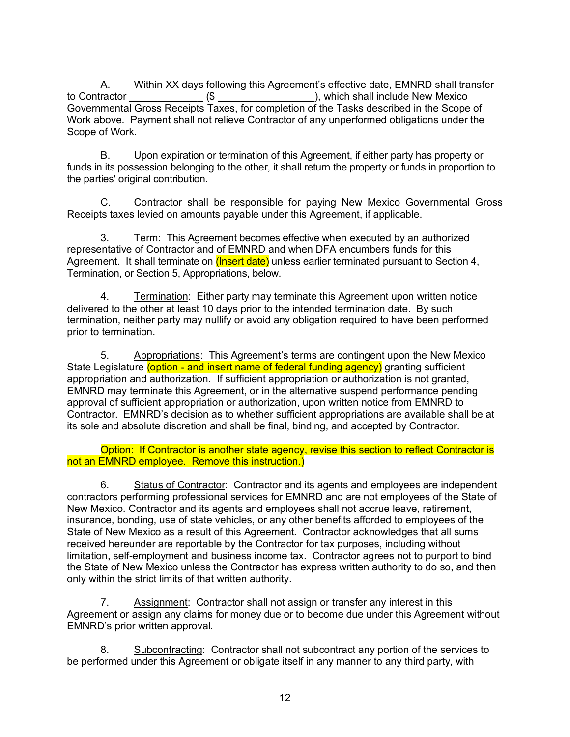A. Within XX days following this Agreement's effective date, EMNRD shall transfer to Contractor **the Contractor** (\$  $\qquad \qquad$  ), which shall include New Mexico Governmental Gross Receipts Taxes, for completion of the Tasks described in the Scope of Work above. Payment shall not relieve Contractor of any unperformed obligations under the Scope of Work.

B. Upon expiration or termination of this Agreement, if either party has property or funds in its possession belonging to the other, it shall return the property or funds in proportion to the parties' original contribution.

C. Contractor shall be responsible for paying New Mexico Governmental Gross Receipts taxes levied on amounts payable under this Agreement, if applicable.

3. Term: This Agreement becomes effective when executed by an authorized representative of Contractor and of EMNRD and when DFA encumbers funds for this Agreement. It shall terminate on *(Insert date)* unless earlier terminated pursuant to Section 4, Termination, or Section 5, Appropriations, below.

4. Termination: Either party may terminate this Agreement upon written notice delivered to the other at least 10 days prior to the intended termination date. By such termination, neither party may nullify or avoid any obligation required to have been performed prior to termination.

5. Appropriations: This Agreement's terms are contingent upon the New Mexico State Legislature (option - and insert name of federal funding agency) granting sufficient appropriation and authorization. If sufficient appropriation or authorization is not granted, EMNRD may terminate this Agreement, or in the alternative suspend performance pending approval of sufficient appropriation or authorization, upon written notice from EMNRD to Contractor. EMNRD's decision as to whether sufficient appropriations are available shall be at its sole and absolute discretion and shall be final, binding, and accepted by Contractor.

Option: If Contractor is another state agency, revise this section to reflect Contractor is not an EMNRD employee. Remove this instruction.)

6. Status of Contractor: Contractor and its agents and employees are independent contractors performing professional services for EMNRD and are not employees of the State of New Mexico. Contractor and its agents and employees shall not accrue leave, retirement, insurance, bonding, use of state vehicles, or any other benefits afforded to employees of the State of New Mexico as a result of this Agreement. Contractor acknowledges that all sums received hereunder are reportable by the Contractor for tax purposes, including without limitation, self-employment and business income tax. Contractor agrees not to purport to bind the State of New Mexico unless the Contractor has express written authority to do so, and then only within the strict limits of that written authority.

7. Assignment: Contractor shall not assign or transfer any interest in this Agreement or assign any claims for money due or to become due under this Agreement without EMNRD's prior written approval.

8. Subcontracting: Contractor shall not subcontract any portion of the services to be performed under this Agreement or obligate itself in any manner to any third party, with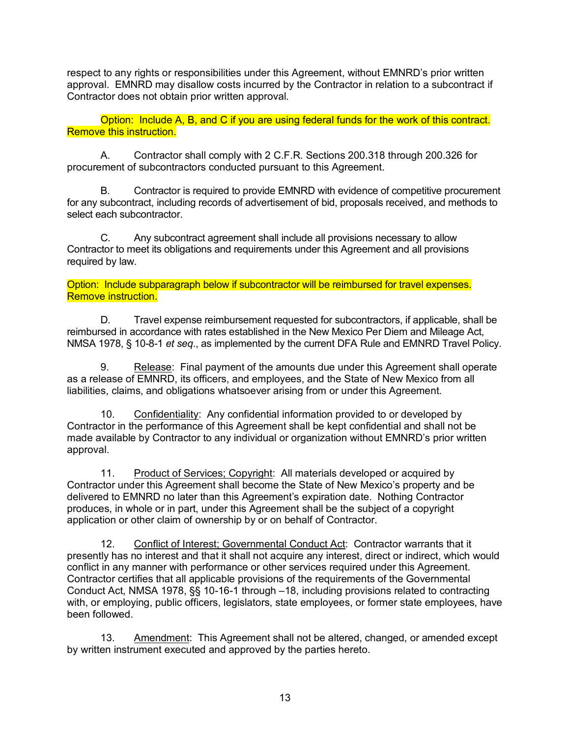respect to any rights or responsibilities under this Agreement, without EMNRD's prior written approval. EMNRD may disallow costs incurred by the Contractor in relation to a subcontract if Contractor does not obtain prior written approval.

Option: Include A, B, and C if you are using federal funds for the work of this contract. Remove this instruction.

A. Contractor shall comply with 2 C.F.R. Sections 200.318 through 200.326 for procurement of subcontractors conducted pursuant to this Agreement.

B. Contractor is required to provide EMNRD with evidence of competitive procurement for any subcontract, including records of advertisement of bid, proposals received, and methods to select each subcontractor.

C. Any subcontract agreement shall include all provisions necessary to allow Contractor to meet its obligations and requirements under this Agreement and all provisions required by law.

Option: Include subparagraph below if subcontractor will be reimbursed for travel expenses. Remove instruction.

D. Travel expense reimbursement requested for subcontractors, if applicable, shall be reimbursed in accordance with rates established in the New Mexico Per Diem and Mileage Act, NMSA 1978, § 10-8-1 *et seq*., as implemented by the current DFA Rule and EMNRD Travel Policy.

9. Release: Final payment of the amounts due under this Agreement shall operate as a release of EMNRD, its officers, and employees, and the State of New Mexico from all liabilities, claims, and obligations whatsoever arising from or under this Agreement.

10. Confidentiality: Any confidential information provided to or developed by Contractor in the performance of this Agreement shall be kept confidential and shall not be made available by Contractor to any individual or organization without EMNRD's prior written approval.

11. Product of Services; Copyright: All materials developed or acquired by Contractor under this Agreement shall become the State of New Mexico's property and be delivered to EMNRD no later than this Agreement's expiration date. Nothing Contractor produces, in whole or in part, under this Agreement shall be the subject of a copyright application or other claim of ownership by or on behalf of Contractor.

12. Conflict of Interest; Governmental Conduct Act: Contractor warrants that it presently has no interest and that it shall not acquire any interest, direct or indirect, which would conflict in any manner with performance or other services required under this Agreement. Contractor certifies that all applicable provisions of the requirements of the Governmental Conduct Act, NMSA 1978, §§ 10-16-1 through –18, including provisions related to contracting with, or employing, public officers, legislators, state employees, or former state employees, have been followed.

13. Amendment: This Agreement shall not be altered, changed, or amended except by written instrument executed and approved by the parties hereto.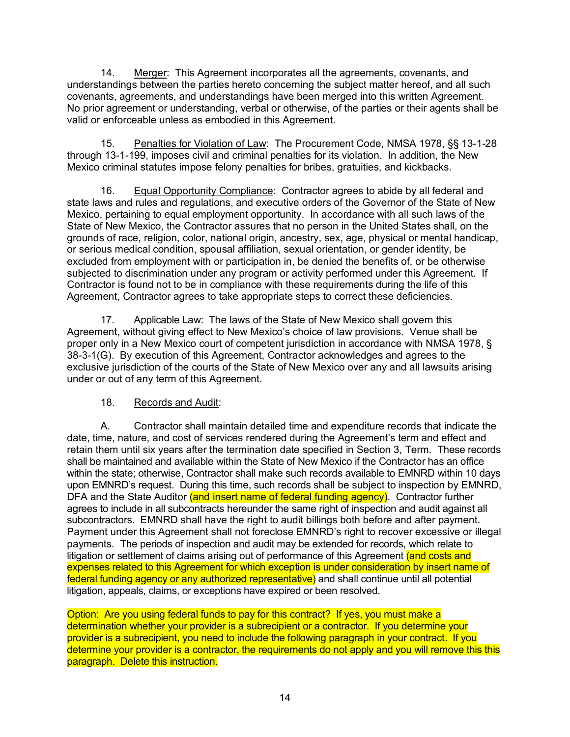14. Merger: This Agreement incorporates all the agreements, covenants, and understandings between the parties hereto concerning the subject matter hereof, and all such covenants, agreements, and understandings have been merged into this written Agreement. No prior agreement or understanding, verbal or otherwise, of the parties or their agents shall be valid or enforceable unless as embodied in this Agreement.

15. Penalties for Violation of Law: The Procurement Code, NMSA 1978, §§ 13-1-28 through 13-1-199, imposes civil and criminal penalties for its violation. In addition, the New Mexico criminal statutes impose felony penalties for bribes, gratuities, and kickbacks.

16. Equal Opportunity Compliance: Contractor agrees to abide by all federal and state laws and rules and regulations, and executive orders of the Governor of the State of New Mexico, pertaining to equal employment opportunity. In accordance with all such laws of the State of New Mexico, the Contractor assures that no person in the United States shall, on the grounds of race, religion, color, national origin, ancestry, sex, age, physical or mental handicap, or serious medical condition, spousal affiliation, sexual orientation, or gender identity, be excluded from employment with or participation in, be denied the benefits of, or be otherwise subjected to discrimination under any program or activity performed under this Agreement. If Contractor is found not to be in compliance with these requirements during the life of this Agreement, Contractor agrees to take appropriate steps to correct these deficiencies.

17. Applicable Law: The laws of the State of New Mexico shall govern this Agreement, without giving effect to New Mexico's choice of law provisions. Venue shall be proper only in a New Mexico court of competent jurisdiction in accordance with NMSA 1978, § 38-3-1(G). By execution of this Agreement, Contractor acknowledges and agrees to the exclusive jurisdiction of the courts of the State of New Mexico over any and all lawsuits arising under or out of any term of this Agreement.

#### 18. Records and Audit:

A. Contractor shall maintain detailed time and expenditure records that indicate the date, time, nature, and cost of services rendered during the Agreement's term and effect and retain them until six years after the termination date specified in Section 3, Term. These records shall be maintained and available within the State of New Mexico if the Contractor has an office within the state; otherwise, Contractor shall make such records available to EMNRD within 10 days upon EMNRD's request. During this time, such records shall be subject to inspection by EMNRD, DFA and the State Auditor (and insert name of federal funding agency). Contractor further agrees to include in all subcontracts hereunder the same right of inspection and audit against all subcontractors. EMNRD shall have the right to audit billings both before and after payment. Payment under this Agreement shall not foreclose EMNRD's right to recover excessive or illegal payments. The periods of inspection and audit may be extended for records, which relate to litigation or settlement of claims arising out of performance of this Agreement (and costs and expenses related to this Agreement for which exception is under consideration by insert name of federal funding agency or any authorized representative) and shall continue until all potential litigation, appeals, claims, or exceptions have expired or been resolved.

Option: Are you using federal funds to pay for this contract? If yes, you must make a determination whether your provider is a subrecipient or a contractor. If you determine your provider is a subrecipient, you need to include the following paragraph in your contract. If you determine your provider is a contractor, the requirements do not apply and you will remove this this paragraph. Delete this instruction.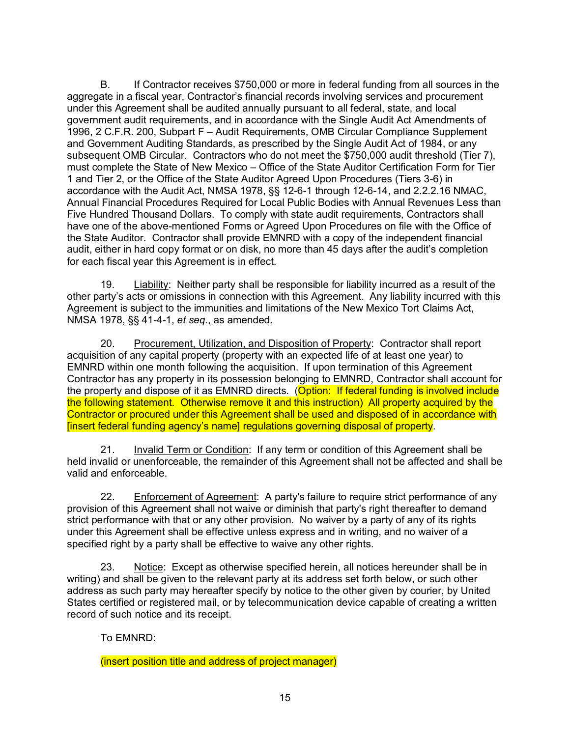B. If Contractor receives \$750,000 or more in federal funding from all sources in the aggregate in a fiscal year, Contractor's financial records involving services and procurement under this Agreement shall be audited annually pursuant to all federal, state, and local government audit requirements, and in accordance with the Single Audit Act Amendments of 1996, 2 C.F.R. 200, Subpart F – Audit Requirements, OMB Circular Compliance Supplement and Government Auditing Standards, as prescribed by the Single Audit Act of 1984, or any subsequent OMB Circular. Contractors who do not meet the \$750,000 audit threshold (Tier 7), must complete the State of New Mexico – Office of the State Auditor Certification Form for Tier 1 and Tier 2, or the Office of the State Auditor Agreed Upon Procedures (Tiers 3-6) in accordance with the Audit Act, NMSA 1978, §§ 12-6-1 through 12-6-14, and 2.2.2.16 NMAC, Annual Financial Procedures Required for Local Public Bodies with Annual Revenues Less than Five Hundred Thousand Dollars. To comply with state audit requirements, Contractors shall have one of the above-mentioned Forms or Agreed Upon Procedures on file with the Office of the State Auditor. Contractor shall provide EMNRD with a copy of the independent financial audit, either in hard copy format or on disk, no more than 45 days after the audit's completion for each fiscal year this Agreement is in effect.

19. Liability: Neither party shall be responsible for liability incurred as a result of the other party's acts or omissions in connection with this Agreement. Any liability incurred with this Agreement is subject to the immunities and limitations of the New Mexico Tort Claims Act, NMSA 1978, §§ 41-4-1, *et seq.*, as amended.

20. Procurement, Utilization, and Disposition of Property: Contractor shall report acquisition of any capital property (property with an expected life of at least one year) to EMNRD within one month following the acquisition. If upon termination of this Agreement Contractor has any property in its possession belonging to EMNRD, Contractor shall account for the property and dispose of it as EMNRD directs. (Option: If federal funding is involved include the following statement. Otherwise remove it and this instruction) All property acquired by the Contractor or procured under this Agreement shall be used and disposed of in accordance with [insert federal funding agency's name] regulations governing disposal of property.

21. Invalid Term or Condition: If any term or condition of this Agreement shall be held invalid or unenforceable, the remainder of this Agreement shall not be affected and shall be valid and enforceable.

22. Enforcement of Agreement: A party's failure to require strict performance of any provision of this Agreement shall not waive or diminish that party's right thereafter to demand strict performance with that or any other provision. No waiver by a party of any of its rights under this Agreement shall be effective unless express and in writing, and no waiver of a specified right by a party shall be effective to waive any other rights.

23. Notice: Except as otherwise specified herein, all notices hereunder shall be in writing) and shall be given to the relevant party at its address set forth below, or such other address as such party may hereafter specify by notice to the other given by courier, by United States certified or registered mail, or by telecommunication device capable of creating a written record of such notice and its receipt.

To EMNRD:

(insert position title and address of project manager)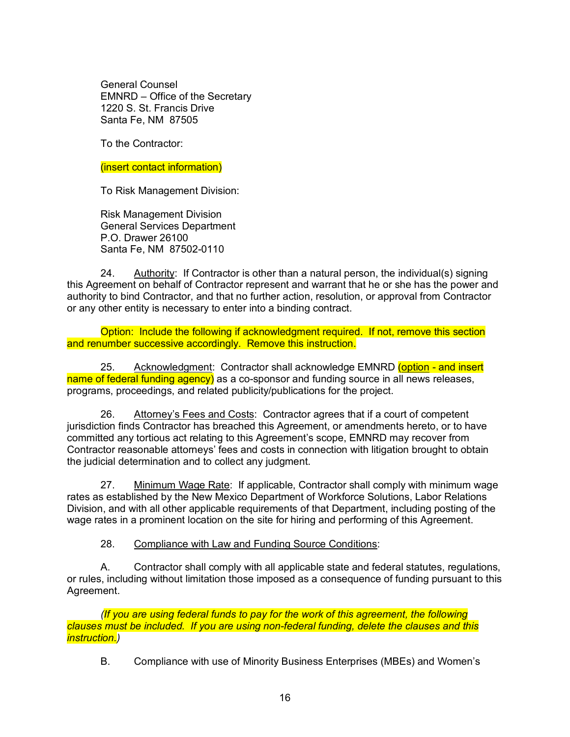General Counsel EMNRD – Office of the Secretary 1220 S. St. Francis Drive Santa Fe, NM 87505

To the Contractor:

(insert contact information)

To Risk Management Division:

Risk Management Division General Services Department P.O. Drawer 26100 Santa Fe, NM 87502-0110

24. Authority: If Contractor is other than a natural person, the individual(s) signing this Agreement on behalf of Contractor represent and warrant that he or she has the power and authority to bind Contractor, and that no further action, resolution, or approval from Contractor or any other entity is necessary to enter into a binding contract.

Option: Include the following if acknowledgment required. If not, remove this section and renumber successive accordingly. Remove this instruction.

25. Acknowledgment: Contractor shall acknowledge EMNRD (option - and insert name of federal funding agency) as a co-sponsor and funding source in all news releases, programs, proceedings, and related publicity/publications for the project.

26. Attorney's Fees and Costs: Contractor agrees that if a court of competent jurisdiction finds Contractor has breached this Agreement, or amendments hereto, or to have committed any tortious act relating to this Agreement's scope, EMNRD may recover from Contractor reasonable attorneys' fees and costs in connection with litigation brought to obtain the judicial determination and to collect any judgment.

27. Minimum Wage Rate: If applicable, Contractor shall comply with minimum wage rates as established by the New Mexico Department of Workforce Solutions, Labor Relations Division, and with all other applicable requirements of that Department, including posting of the wage rates in a prominent location on the site for hiring and performing of this Agreement.

28. Compliance with Law and Funding Source Conditions:

A. Contractor shall comply with all applicable state and federal statutes, regulations, or rules, including without limitation those imposed as a consequence of funding pursuant to this Agreement.

*(If you are using federal funds to pay for the work of this agreement, the following clauses must be included. If you are using non-federal funding, delete the clauses and this instruction.)*

B. Compliance with use of Minority Business Enterprises (MBEs) and Women's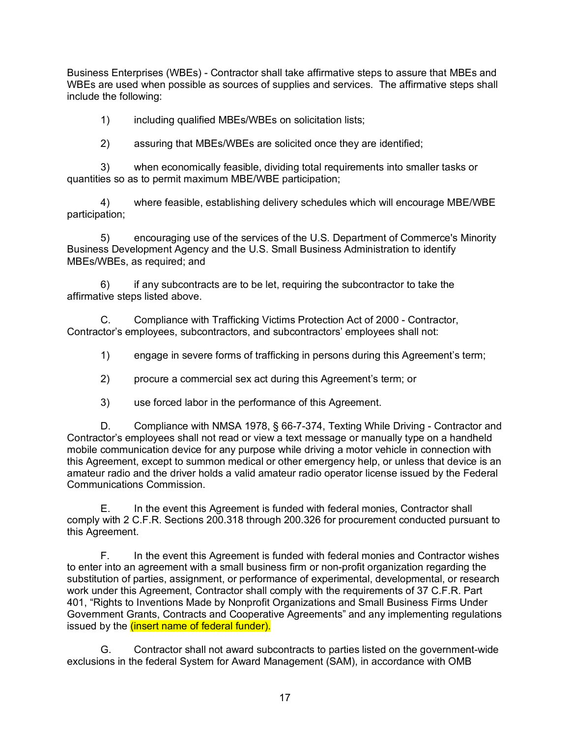Business Enterprises (WBEs) - Contractor shall take affirmative steps to assure that MBEs and WBEs are used when possible as sources of supplies and services. The affirmative steps shall include the following:

1) including qualified MBEs/WBEs on solicitation lists;

2) assuring that MBEs/WBEs are solicited once they are identified;

3) when economically feasible, dividing total requirements into smaller tasks or quantities so as to permit maximum MBE/WBE participation;

4) where feasible, establishing delivery schedules which will encourage MBE/WBE participation;

5) encouraging use of the services of the U.S. Department of Commerce's Minority Business Development Agency and the U.S. Small Business Administration to identify MBEs/WBEs, as required; and

6) if any subcontracts are to be let, requiring the subcontractor to take the affirmative steps listed above.

C. Compliance with Trafficking Victims Protection Act of 2000 - Contractor, Contractor's employees, subcontractors, and subcontractors' employees shall not:

1) engage in severe forms of trafficking in persons during this Agreement's term;

2) procure a commercial sex act during this Agreement's term; or

3) use forced labor in the performance of this Agreement.

D. Compliance with NMSA 1978, § 66-7-374, Texting While Driving - Contractor and Contractor's employees shall not read or view a text message or manually type on a handheld mobile communication device for any purpose while driving a motor vehicle in connection with this Agreement, except to summon medical or other emergency help, or unless that device is an amateur radio and the driver holds a valid amateur radio operator license issued by the Federal Communications Commission.

E. In the event this Agreement is funded with federal monies, Contractor shall comply with 2 C.F.R. Sections 200.318 through 200.326 for procurement conducted pursuant to this Agreement.

F. In the event this Agreement is funded with federal monies and Contractor wishes to enter into an agreement with a small business firm or non-profit organization regarding the substitution of parties, assignment, or performance of experimental, developmental, or research work under this Agreement, Contractor shall comply with the requirements of 37 C.F.R. Part 401, "Rights to Inventions Made by Nonprofit Organizations and Small Business Firms Under Government Grants, Contracts and Cooperative Agreements" and any implementing regulations issued by the *(insert name of federal funder)*.

G. Contractor shall not award subcontracts to parties listed on the government-wide exclusions in the federal System for Award Management (SAM), in accordance with OMB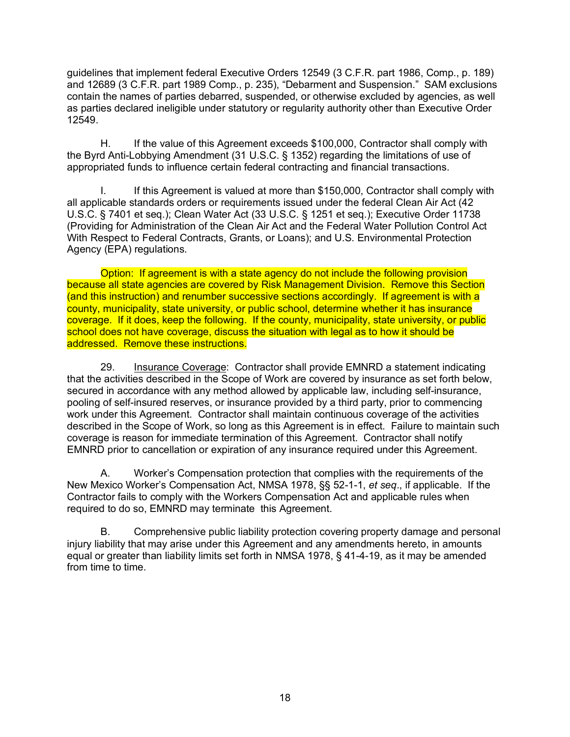guidelines that implement federal Executive Orders 12549 (3 C.F.R. part 1986, Comp., p. 189) and 12689 (3 C.F.R. part 1989 Comp., p. 235), "Debarment and Suspension." SAM exclusions contain the names of parties debarred, suspended, or otherwise excluded by agencies, as well as parties declared ineligible under statutory or regularity authority other than Executive Order 12549.

H. If the value of this Agreement exceeds \$100,000, Contractor shall comply with the Byrd Anti-Lobbying Amendment (31 U.S.C. § 1352) regarding the limitations of use of appropriated funds to influence certain federal contracting and financial transactions.

I. If this Agreement is valued at more than \$150,000, Contractor shall comply with all applicable standards orders or requirements issued under the federal Clean Air Act (42 U.S.C. § 7401 et seq.); Clean Water Act (33 U.S.C. § 1251 et seq.); Executive Order 11738 (Providing for Administration of the Clean Air Act and the Federal Water Pollution Control Act With Respect to Federal Contracts, Grants, or Loans); and U.S. Environmental Protection Agency (EPA) regulations.

Option: If agreement is with a state agency do not include the following provision because all state agencies are covered by Risk Management Division. Remove this Section (and this instruction) and renumber successive sections accordingly. If agreement is with a county, municipality, state university, or public school, determine whether it has insurance coverage. If it does, keep the following. If the county, municipality, state university, or public school does not have coverage, discuss the situation with legal as to how it should be addressed. Remove these instructions.

29. Insurance Coverage: Contractor shall provide EMNRD a statement indicating that the activities described in the Scope of Work are covered by insurance as set forth below, secured in accordance with any method allowed by applicable law, including self-insurance, pooling of self-insured reserves, or insurance provided by a third party, prior to commencing work under this Agreement. Contractor shall maintain continuous coverage of the activities described in the Scope of Work, so long as this Agreement is in effect. Failure to maintain such coverage is reason for immediate termination of this Agreement. Contractor shall notify EMNRD prior to cancellation or expiration of any insurance required under this Agreement.

A. Worker's Compensation protection that complies with the requirements of the New Mexico Worker's Compensation Act, NMSA 1978, §§ 52-1-1, *et seq*., if applicable. If the Contractor fails to comply with the Workers Compensation Act and applicable rules when required to do so, EMNRD may terminate this Agreement.

B. Comprehensive public liability protection covering property damage and personal injury liability that may arise under this Agreement and any amendments hereto, in amounts equal or greater than liability limits set forth in NMSA 1978, § 41-4-19, as it may be amended from time to time.